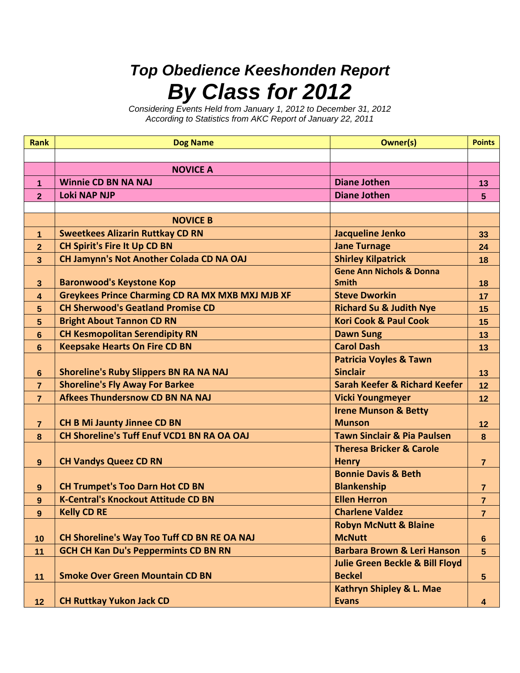## *Top Obedience Keeshonden Report By Class for 2012*

*Considering Events Held from January 1, 2012 to December 31, 2012 According to Statistics from AKC Report of January 22, 2011*

| <b>Rank</b>          | <b>Dog Name</b>                                         | <b>Owner(s)</b>                            | <b>Points</b>    |
|----------------------|---------------------------------------------------------|--------------------------------------------|------------------|
|                      |                                                         |                                            |                  |
|                      | <b>NOVICE A</b>                                         |                                            |                  |
| $\blacktriangleleft$ | <b>Winnie CD BN NA NAJ</b>                              | <b>Diane Jothen</b>                        | 13               |
| $\overline{2}$       | <b>Loki NAP NJP</b>                                     | <b>Diane Jothen</b>                        | 5                |
|                      |                                                         |                                            |                  |
|                      | <b>NOVICE B</b>                                         |                                            |                  |
| 1                    | <b>Sweetkees Alizarin Ruttkay CD RN</b>                 | Jacqueline Jenko                           | 33               |
| $\mathbf{2}$         | <b>CH Spirit's Fire It Up CD BN</b>                     | <b>Jane Turnage</b>                        | 24               |
| $3\phantom{a}$       | CH Jamynn's Not Another Colada CD NA OAJ                | <b>Shirley Kilpatrick</b>                  | 18               |
|                      |                                                         | <b>Gene Ann Nichols &amp; Donna</b>        |                  |
| $\mathbf{3}$         | <b>Baronwood's Keystone Kop</b>                         | <b>Smith</b>                               | 18               |
| 4                    | <b>Greykees Prince Charming CD RA MX MXB MXJ MJB XF</b> | <b>Steve Dworkin</b>                       | 17               |
| 5                    | <b>CH Sherwood's Geatland Promise CD</b>                | <b>Richard Su &amp; Judith Nye</b>         | 15               |
| 5                    | <b>Bright About Tannon CD RN</b>                        | <b>Kori Cook &amp; Paul Cook</b>           | 15               |
| 6                    | <b>CH Kesmopolitan Serendipity RN</b>                   | <b>Dawn Sung</b>                           | 13               |
| 6                    | <b>Keepsake Hearts On Fire CD BN</b>                    | <b>Carol Dash</b>                          | 13               |
|                      |                                                         | <b>Patricia Voyles &amp; Tawn</b>          |                  |
| $6\phantom{1}6$      | <b>Shoreline's Ruby Slippers BN RA NA NAJ</b>           | <b>Sinclair</b>                            | 13               |
| $\overline{7}$       | <b>Shoreline's Fly Away For Barkee</b>                  | <b>Sarah Keefer &amp; Richard Keefer</b>   | 12               |
| $\overline{7}$       | <b>Afkees Thundersnow CD BN NA NAJ</b>                  | <b>Vicki Youngmeyer</b>                    | 12               |
|                      |                                                         | <b>Irene Munson &amp; Betty</b>            |                  |
| $\overline{7}$       | <b>CH B Mi Jaunty Jinnee CD BN</b>                      | <b>Munson</b>                              | 12               |
| $\boldsymbol{8}$     | <b>CH Shoreline's Tuff Enuf VCD1 BN RA OA OAJ</b>       | <b>Tawn Sinclair &amp; Pia Paulsen</b>     | 8                |
|                      |                                                         | <b>Theresa Bricker &amp; Carole</b>        |                  |
| 9                    | <b>CH Vandys Queez CD RN</b>                            | <b>Henry</b>                               | $\overline{7}$   |
|                      |                                                         | <b>Bonnie Davis &amp; Beth</b>             |                  |
| 9                    | <b>CH Trumpet's Too Darn Hot CD BN</b>                  | <b>Blankenship</b>                         | $\overline{7}$   |
| 9                    | <b>K-Central's Knockout Attitude CD BN</b>              | <b>Ellen Herron</b>                        | $\overline{7}$   |
| 9                    | <b>Kelly CD RE</b>                                      | <b>Charlene Valdez</b>                     | 7                |
|                      |                                                         | <b>Robyn McNutt &amp; Blaine</b>           |                  |
| 10                   | CH Shoreline's Way Too Tuff CD BN RE OA NAJ             | <b>McNutt</b>                              | $\boldsymbol{6}$ |
| 11                   | <b>GCH CH Kan Du's Peppermints CD BN RN</b>             | <b>Barbara Brown &amp; Leri Hanson</b>     | 5                |
|                      |                                                         | <b>Julie Green Beckle &amp; Bill Floyd</b> |                  |
| 11                   | <b>Smoke Over Green Mountain CD BN</b>                  | <b>Beckel</b>                              | $5\phantom{.0}$  |
|                      |                                                         | Kathryn Shipley & L. Mae                   |                  |
| 12                   | <b>CH Ruttkay Yukon Jack CD</b>                         | <b>Evans</b>                               | 4                |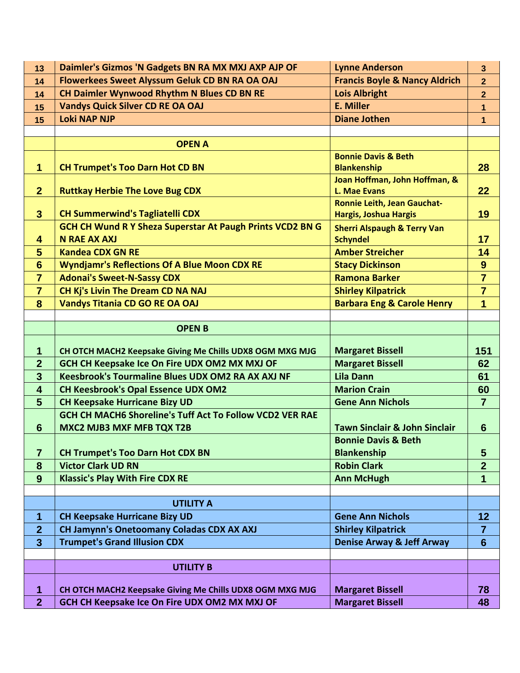| 13                               | Daimler's Gizmos 'N Gadgets BN RA MX MXJ AXP AJP OF                                                       | <b>Lynne Anderson</b>                                       | 3                    |
|----------------------------------|-----------------------------------------------------------------------------------------------------------|-------------------------------------------------------------|----------------------|
| 14                               | Flowerkees Sweet Alyssum Geluk CD BN RA OA OAJ                                                            | <b>Francis Boyle &amp; Nancy Aldrich</b>                    | $\overline{2}$       |
| 14                               | CH Daimler Wynwood Rhythm N Blues CD BN RE                                                                | <b>Lois Albright</b>                                        | $\overline{2}$       |
| 15                               | <b>Vandys Quick Silver CD RE OA OAJ</b>                                                                   | E. Miller                                                   | $\mathbf{1}$         |
| 15                               | <b>Loki NAP NJP</b>                                                                                       | <b>Diane Jothen</b>                                         | 1                    |
|                                  |                                                                                                           |                                                             |                      |
|                                  | <b>OPEN A</b>                                                                                             |                                                             |                      |
|                                  |                                                                                                           | <b>Bonnie Davis &amp; Beth</b>                              |                      |
| $\overline{1}$                   | <b>CH Trumpet's Too Darn Hot CD BN</b>                                                                    | <b>Blankenship</b>                                          | 28                   |
|                                  |                                                                                                           | Joan Hoffman, John Hoffman, &                               |                      |
| 2 <sup>1</sup>                   | <b>Ruttkay Herbie The Love Bug CDX</b>                                                                    | L. Mae Evans                                                | 22                   |
| $\mathbf{3}$                     | <b>CH Summerwind's Tagliatelli CDX</b>                                                                    | <b>Ronnie Leith, Jean Gauchat-</b><br>Hargis, Joshua Hargis | 19                   |
|                                  | GCH CH Wund R Y Sheza Superstar At Paugh Prints VCD2 BN G                                                 | <b>Sherri Alspaugh &amp; Terry Van</b>                      |                      |
| $\overline{\mathbf{4}}$          | <b>N RAE AX AXJ</b>                                                                                       | <b>Schyndel</b>                                             | 17                   |
| 5                                | <b>Kandea CDX GN RE</b>                                                                                   | <b>Amber Streicher</b>                                      | 14                   |
| $6\phantom{1}6$                  | <b>Wyndjamr's Reflections Of A Blue Moon CDX RE</b>                                                       | <b>Stacy Dickinson</b>                                      | $\boldsymbol{9}$     |
| $\overline{7}$                   | <b>Adonai's Sweet-N-Sassy CDX</b>                                                                         | <b>Ramona Barker</b>                                        | $\overline{7}$       |
| $\overline{7}$                   | CH Kj's Livin The Dream CD NA NAJ                                                                         | <b>Shirley Kilpatrick</b>                                   | $\overline{7}$       |
| 8                                | <b>Vandys Titania CD GO RE OA OAJ</b>                                                                     | <b>Barbara Eng &amp; Carole Henry</b>                       | $\overline{1}$       |
|                                  |                                                                                                           |                                                             |                      |
|                                  | <b>OPENB</b>                                                                                              |                                                             |                      |
|                                  |                                                                                                           |                                                             |                      |
|                                  |                                                                                                           |                                                             |                      |
| $\mathbf 1$                      | CH OTCH MACH2 Keepsake Giving Me Chills UDX8 OGM MXG MJG                                                  | <b>Margaret Bissell</b>                                     | 151                  |
| $\overline{2}$<br>$\overline{3}$ | GCH CH Keepsake Ice On Fire UDX OM2 MX MXJ OF<br><b>Keesbrook's Tourmaline Blues UDX OM2 RA AX AXJ NF</b> | <b>Margaret Bissell</b><br><b>Lila Dann</b>                 | 62<br>61             |
| 4                                |                                                                                                           | <b>Marion Crain</b>                                         |                      |
| 5                                | <b>CH Keesbrook's Opal Essence UDX OM2</b><br><b>CH Keepsake Hurricane Bizy UD</b>                        | <b>Gene Ann Nichols</b>                                     | 60<br>$\overline{7}$ |
|                                  | GCH CH MACH6 Shoreline's Tuff Act To Follow VCD2 VER RAE                                                  |                                                             |                      |
| $6\phantom{1}6$                  | <b>MXC2 MJB3 MXF MFB TQX T2B</b>                                                                          | <b>Tawn Sinclair &amp; John Sinclair</b>                    | 6                    |
|                                  |                                                                                                           | <b>Bonnie Davis &amp; Beth</b>                              |                      |
| $\overline{7}$                   | <b>CH Trumpet's Too Darn Hot CDX BN</b>                                                                   | <b>Blankenship</b>                                          | 5                    |
| 8                                | <b>Victor Clark UD RN</b>                                                                                 | <b>Robin Clark</b>                                          | $\overline{2}$       |
| 9                                | <b>Klassic's Play With Fire CDX RE</b>                                                                    | <b>Ann McHugh</b>                                           | 1                    |
|                                  |                                                                                                           |                                                             |                      |
|                                  | <b>UTILITY A</b>                                                                                          |                                                             |                      |
| 1                                | <b>CH Keepsake Hurricane Bizy UD</b>                                                                      | <b>Gene Ann Nichols</b>                                     | 12                   |
| $\overline{2}$                   | <b>CH Jamynn's Onetoomany Coladas CDX AX AXJ</b>                                                          | <b>Shirley Kilpatrick</b>                                   | $\overline{7}$       |
| $\mathbf{3}$                     | <b>Trumpet's Grand Illusion CDX</b>                                                                       | <b>Denise Arway &amp; Jeff Arway</b>                        | $6\phantom{1}6$      |
|                                  |                                                                                                           |                                                             |                      |
|                                  | <b>UTILITY B</b>                                                                                          |                                                             |                      |
| $\mathbf 1$                      | CH OTCH MACH2 Keepsake Giving Me Chills UDX8 OGM MXG MJG                                                  | <b>Margaret Bissell</b>                                     | 78                   |